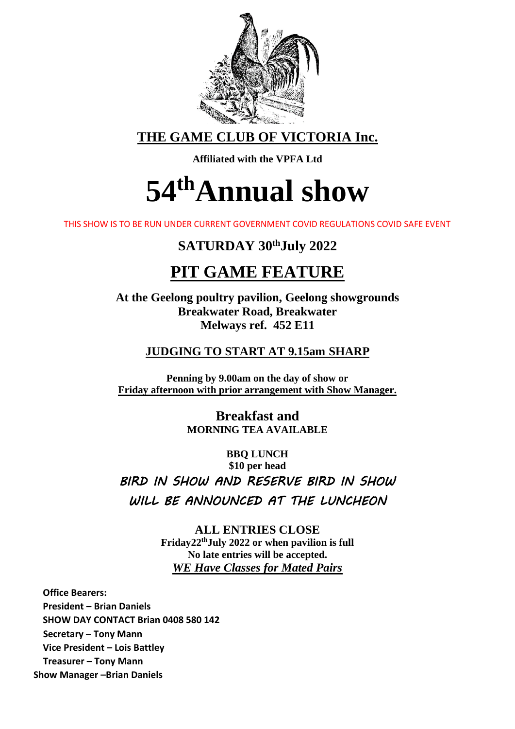

**THE GAME CLUB OF VICTORIA Inc.**

**Affiliated with the VPFA Ltd**

# **54 thAnnual show**

THIS SHOW IS TO BE RUN UNDER CURRENT GOVERNMENT COVID REGULATIONS COVID SAFE EVENT

# **SATURDAY 30thJuly 2022**

# **PIT GAME FEATURE**

**At the Geelong poultry pavilion, Geelong showgrounds Breakwater Road, Breakwater Melways ref. 452 E11**

## **JUDGING TO START AT 9.15am SHARP**

**Penning by 9.00am on the day of show or Friday afternoon with prior arrangement with Show Manager.**

> **Breakfast and MORNING TEA AVAILABLE**

**BBQ LUNCH \$10 per head**  *BIRD IN SHOW AND RESERVE BIRD IN SHOW WILL BE ANNOUNCED AT THE LUNCHEON* 

> **ALL ENTRIES CLOSE Friday22thJuly 2022 or when pavilion is full No late entries will be accepted.** *WE Have Classes for Mated Pairs*

**Office Bearers: President – Brian Daniels SHOW DAY CONTACT Brian 0408 580 142 Secretary – Tony Mann Vice President – Lois Battley Treasurer – Tony Mann Show Manager –Brian Daniels**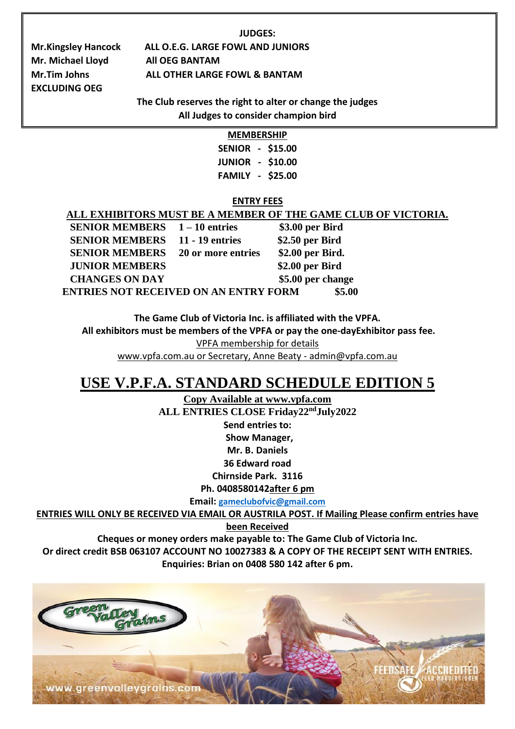#### **JUDGES:**

**Mr. Michael Lloyd All OEG BANTAM EXCLUDING OEG**

**Mr.Kingsley Hancock ALL O.E.G. LARGE FOWL AND JUNIORS Mr.Tim Johns ALL OTHER LARGE FOWL & BANTAM**

> **The Club reserves the right to alter or change the judges All Judges to consider champion bird**

| MEMBERSHIP    |                |         |  |
|---------------|----------------|---------|--|
| <b>SENIOR</b> | $\sim$         | \$15.00 |  |
| <b>JUNIOR</b> | $\blacksquare$ | \$10.00 |  |
| FAMILY        | ÷.             | \$25.00 |  |

#### **ENTRY FEES**

|                                              | ALL EXHIBITORS MUST BE A MEMBER OF THE GAME CLUB OF VICTORIA. |
|----------------------------------------------|---------------------------------------------------------------|
| <b>SENIOR MEMBERS</b> 1-10 entries           | \$3.00 per Bird                                               |
| <b>SENIOR MEMBERS</b> 11 - 19 entries        | \$2.50 per Bird                                               |
| <b>SENIOR MEMBERS</b> 20 or more entries     | \$2.00 per Bird.                                              |
| <b>JUNIOR MEMBERS</b>                        | \$2.00 per Bird                                               |
| <b>CHANGES ON DAY</b>                        | \$5.00 per change                                             |
| <b>ENTRIES NOT RECEIVED ON AN ENTRY FORM</b> | \$5.00                                                        |

**The Game Club of Victoria Inc. is affiliated with the VPFA.**

**All exhibitors must be members of the VPFA or pay the one-dayExhibitor pass fee.** 

VPFA membership for details

www.vpfa.com.au or Secretary, Anne Beaty - [admin@vpfa.com.au](mailto:admin@vpfa.com.au)

# **USE V.P.F.A. STANDARD SCHEDULE EDITION 5**

**Copy Available at www.vpfa.com ALL ENTRIES CLOSE Friday22ndJuly2022 Send entries to: Show Manager, Mr. B. Daniels**

**36 Edward road**

**Chirnside Park. 3116**

**Ph. 0408580142after 6 pm**

**Email: [gameclubofvic@gmail.com](mailto:gameclubofvic@gmail.com)**

**ENTRIES WILL ONLY BE RECEIVED VIA EMAIL OR AUSTRILA POST. If Mailing Please confirm entries have** 

**been Received** 

**Cheques or money orders make payable to: The Game Club of Victoria Inc.**

**Or direct credit BSB 063107 ACCOUNT NO 10027383 & A COPY OF THE RECEIPT SENT WITH ENTRIES. Enquiries: Brian on 0408 580 142 after 6 pm.**

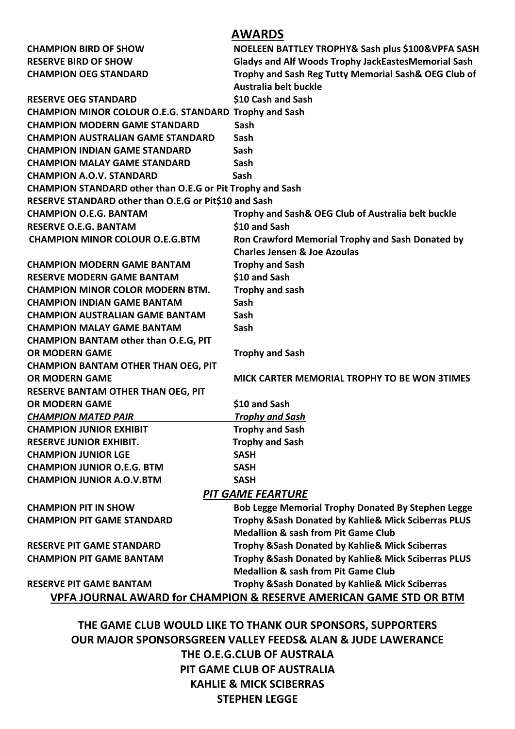### **AWARDS**

| <b>CHAMPION BIRD OF SHOW</b>                                                  | NOELEEN BATTLEY TROPHY& Sash plus \$100&VPFA SASH          |  |  |
|-------------------------------------------------------------------------------|------------------------------------------------------------|--|--|
| <b>RESERVE BIRD OF SHOW</b>                                                   | <b>Gladys and Alf Woods Trophy JackEastesMemorial Sash</b> |  |  |
| <b>CHAMPION OEG STANDARD</b>                                                  | Trophy and Sash Reg Tutty Memorial Sash& OEG Club of       |  |  |
|                                                                               | Australia belt buckle                                      |  |  |
| <b>RESERVE OEG STANDARD</b>                                                   | \$10 Cash and Sash                                         |  |  |
| CHAMPION MINOR COLOUR O.E.G. STANDARD Trophy and Sash                         |                                                            |  |  |
| <b>CHAMPION MODERN GAME STANDARD</b>                                          | <b>Sash</b>                                                |  |  |
| <b>CHAMPION AUSTRALIAN GAME STANDARD</b>                                      | Sash                                                       |  |  |
| <b>CHAMPION INDIAN GAME STANDARD</b>                                          | Sash                                                       |  |  |
| <b>CHAMPION MALAY GAME STANDARD</b>                                           | Sash                                                       |  |  |
| <b>CHAMPION A.O.V. STANDARD</b>                                               | <b>Sash</b>                                                |  |  |
| <b>CHAMPION STANDARD other than O.E.G or Pit Trophy and Sash</b>              |                                                            |  |  |
| RESERVE STANDARD other than O.E.G or Pit\$10 and Sash                         |                                                            |  |  |
| <b>CHAMPION O.E.G. BANTAM</b>                                                 | Trophy and Sash& OEG Club of Australia belt buckle         |  |  |
| <b>RESERVE O.E.G. BANTAM</b>                                                  | \$10 and Sash                                              |  |  |
| <b>CHAMPION MINOR COLOUR O.E.G.BTM</b>                                        | Ron Crawford Memorial Trophy and Sash Donated by           |  |  |
|                                                                               | <b>Charles Jensen &amp; Joe Azoulas</b>                    |  |  |
| <b>CHAMPION MODERN GAME BANTAM</b>                                            | <b>Trophy and Sash</b>                                     |  |  |
| <b>RESERVE MODERN GAME BANTAM</b>                                             | \$10 and Sash                                              |  |  |
| <b>CHAMPION MINOR COLOR MODERN BTM.</b>                                       | Trophy and sash                                            |  |  |
| <b>CHAMPION INDIAN GAME BANTAM</b>                                            | Sash                                                       |  |  |
| <b>CHAMPION AUSTRALIAN GAME BANTAM</b>                                        | Sash                                                       |  |  |
| <b>CHAMPION MALAY GAME BANTAM</b>                                             | Sash                                                       |  |  |
| <b>CHAMPION BANTAM other than O.E.G, PIT</b>                                  |                                                            |  |  |
| <b>OR MODERN GAME</b>                                                         | <b>Trophy and Sash</b>                                     |  |  |
| <b>CHAMPION BANTAM OTHER THAN OEG, PIT</b>                                    |                                                            |  |  |
| <b>OR MODERN GAME</b>                                                         | MICK CARTER MEMORIAL TROPHY TO BE WON 3TIMES               |  |  |
| <b>RESERVE BANTAM OTHER THAN OEG, PIT</b>                                     |                                                            |  |  |
| <b>OR MODERN GAME</b>                                                         | \$10 and Sash                                              |  |  |
| <b>CHAMPION MATED PAIR</b>                                                    | <b>Trophy and Sash</b>                                     |  |  |
| <b>CHAMPION JUNIOR EXHIBIT</b>                                                | <b>Trophy and Sash</b>                                     |  |  |
| <b>RESERVE JUNIOR EXHIBIT.</b>                                                | <b>Trophy and Sash</b>                                     |  |  |
| <b>CHAMPION JUNIOR LGE</b>                                                    | <b>SASH</b>                                                |  |  |
| <b>CHAMPION JUNIOR O.E.G. BTM</b>                                             | <b>SASH</b>                                                |  |  |
| <b>CHAMPION JUNIOR A.O.V.BTM</b>                                              | <b>SASH</b>                                                |  |  |
| <b>PIT GAME FEARTURE</b>                                                      |                                                            |  |  |
| <b>CHAMPION PIT IN SHOW</b>                                                   | <b>Bob Legge Memorial Trophy Donated By Stephen Legge</b>  |  |  |
| <b>CHAMPION PIT GAME STANDARD</b>                                             | Trophy & Sash Donated by Kahlie& Mick Sciberras PLUS       |  |  |
|                                                                               | <b>Medallion &amp; sash from Pit Game Club</b>             |  |  |
| <b>RESERVE PIT GAME STANDARD</b>                                              | Trophy & Sash Donated by Kahlie & Mick Sciberras           |  |  |
| <b>CHAMPION PIT GAME BANTAM</b>                                               | Trophy & Sash Donated by Kahlie& Mick Sciberras PLUS       |  |  |
|                                                                               | <b>Medallion &amp; sash from Pit Game Club</b>             |  |  |
| <b>RESERVE PIT GAME BANTAM</b>                                                | Trophy & Sash Donated by Kahlie & Mick Sciberras           |  |  |
| <b>VPFA JOURNAL AWARD for CHAMPION &amp; RESERVE AMERICAN GAME STD OR BTM</b> |                                                            |  |  |
|                                                                               |                                                            |  |  |
|                                                                               | THE GAME CLUB WOULD LIKE TO THANK OUR SPONSORS, SUPPORTERS |  |  |
|                                                                               |                                                            |  |  |

**OUR MAJOR SPONSORSGREEN VALLEY FEEDS& ALAN & JUDE LAWERANCE THE O.E.G.CLUB OF AUSTRALA PIT GAME CLUB OF AUSTRALIA KAHLIE & MICK SCIBERRAS STEPHEN LEGGE**